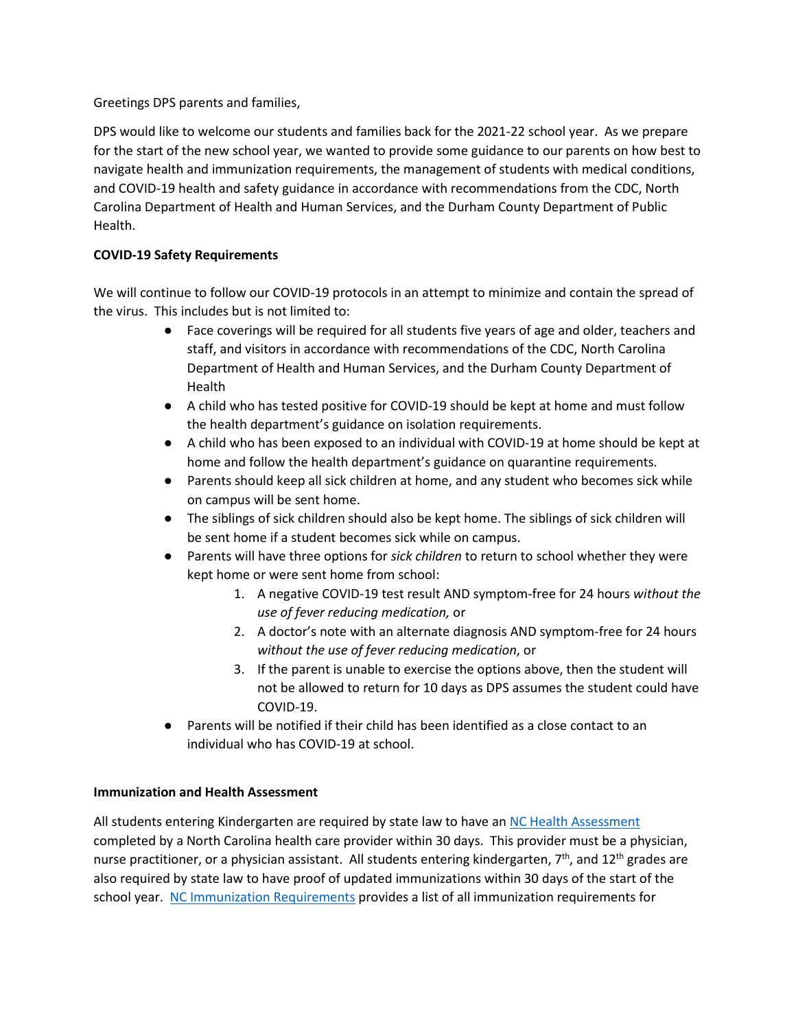Greetings DPS parents and families,

DPS would like to welcome our students and families back for the 2021-22 school year. As we prepare for the start of the new school year, we wanted to provide some guidance to our parents on how best to navigate health and immunization requirements, the management of students with medical conditions, and COVID-19 health and safety guidance in accordance with recommendations from the CDC, North Carolina Department of Health and Human Services, and the Durham County Department of Public Health.

## **COVID-19 Safety Requirements**

We will continue to follow our COVID-19 protocols in an attempt to minimize and contain the spread of the virus. This includes but is not limited to:

- Face coverings will be required for all students five years of age and older, teachers and staff, and visitors in accordance with recommendations of the CDC, North Carolina Department of Health and Human Services, and the Durham County Department of Health
- A child who has tested positive for COVID-19 should be kept at home and must follow the health department's guidance on isolation requirements.
- A child who has been exposed to an individual with COVID-19 at home should be kept at home and follow the health department's guidance on quarantine requirements.
- Parents should keep all sick children at home, and any student who becomes sick while on campus will be sent home.
- The siblings of sick children should also be kept home. The siblings of sick children will be sent home if a student becomes sick while on campus.
- Parents will have three options for *sick children* to return to school whether they were kept home or were sent home from school:
	- 1. A negative COVID-19 test result AND symptom-free for 24 hours *without the use of fever reducing medication,* or
	- 2. A doctor's note with an alternate diagnosis AND symptom-free for 24 hours *without the use of fever reducing medication*, or
	- 3. If the parent is unable to exercise the options above, then the student will not be allowed to return for 10 days as DPS assumes the student could have COVID-19.
- Parents will be notified if their child has been identified as a close contact to an individual who has COVID-19 at school.

## **Immunization and Health Assessment**

All students entering Kindergarten are required by state law to have an [NC Health Assessment](https://www.dpsnc.net/site/handlers/filedownload.ashx?moduleinstanceid=8124&dataid=42023&FileName=NC%20Health%20Assessment%20Eng.pdf) completed by a North Carolina health care provider within 30 days. This provider must be a physician, nurse practitioner, or a physician assistant. All students entering kindergarten, 7<sup>th</sup>, and 12<sup>th</sup> grades are also required by state law to have proof of updated immunizations within 30 days of the start of the school year. [NC Immunization Requirements](https://immunize.nc.gov/schools/k-12.htm) provides a list of all immunization requirements for